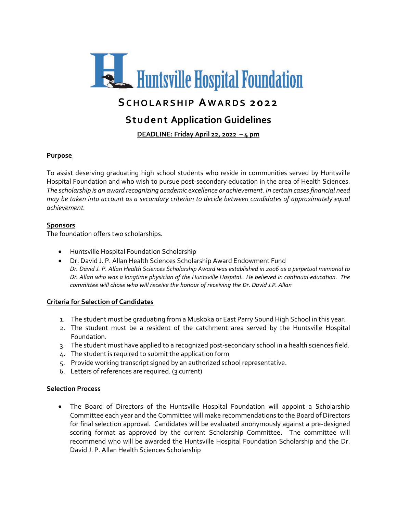

# **Student Application Guidelines**

**DEADLINE: Friday April 22, 2022 – 4 pm**

# **Purpose**

To assist deserving graduating high school students who reside in communities served by Huntsville Hospital Foundation and who wish to pursue post-secondary education in the area of Health Sciences. *The scholarship is an award recognizing academic excellence or achievement. In certain cases financial need may be taken into account as a secondary criterion to decide between candidates of approximately equal achievement.*

## **Sponsors**

The foundation offers two scholarships.

- Huntsville Hospital Foundation Scholarship
- Dr. David J. P. Allan Health Sciences Scholarship Award Endowment Fund *Dr. David J. P. Allan Health Sciences Scholarship Award was established in 2006 as a perpetual memorial to Dr. Allan who was a longtime physician of the Huntsville Hospital. He believed in continual education. The committee will chose who will receive the honour of receiving the Dr. David J.P. Allan*

## **Criteria for Selection of Candidates**

- 1. The student must be graduating from a Muskoka or East Parry Sound High School in this year.
- 2. The student must be a resident of the catchment area served by the Huntsville Hospital Foundation.
- 3. The student must have applied to a recognized post-secondary school in a health sciences field.
- 4. The student is required to submit the application form
- 5. Provide working transcript signed by an authorized school representative.
- 6. Letters of references are required. (3 current)

## **Selection Process**

• The Board of Directors of the Huntsville Hospital Foundation will appoint a Scholarship Committee each year and the Committee will make recommendations to the Board of Directors for final selection approval. Candidates will be evaluated anonymously against a pre-designed scoring format as approved by the current Scholarship Committee. The committee will recommend who will be awarded the Huntsville Hospital Foundation Scholarship and the Dr. David J. P. Allan Health Sciences Scholarship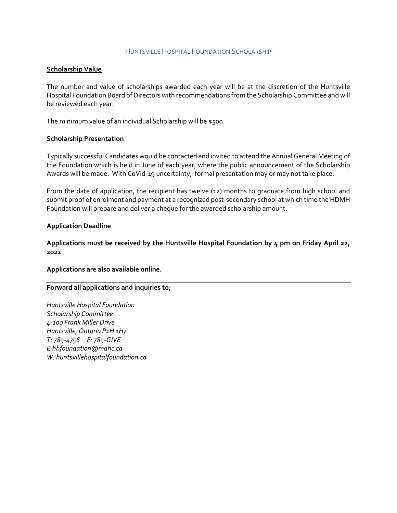### HUNTSVILLE HOSPITAL FOUNDATION SCHOLARSHIP

### **Scholarship Value**

The number and value of scholarships awarded each year will be at the discretion of the Huntsville Hospital Foundation Board of Directors with recommendations from the Scholarship Committee and will be reviewed each year.

The minimum value of an individual Scholarship will be \$500.

#### **Scholarship Presentation**

Typically successful Candidates would be contacted and invited to attend the Annual General Meeting of the Foundation which is held in June of each year, where the public announcement of the Scholarship Awards will be made. With CoVid-19 uncertainty, formal presentation may or may not take place.

From the date of application, the recipient has twelve (12) months to graduate from high school and submit proof of enrolment and payment at a recognized post-secondary school at which time the HDMH Foundation will prepare and deliver a cheque for the awarded scholarship amount.

#### **Application Deadline**

**Applications must be received by the Huntsville Hospital Foundation by 4 pm on Friday April 22, 2022**.

#### **Applications are also available online.**

#### **Forward all applications and inquiries to;**

*Huntsville Hospital Foundation Scholarship Committee 4-100 Frank Miller Drive Huntsville, Ontario P1H 1H7 T: 789-4756 F: 789-GIVE E:hhfoundation@mahc.ca W: huntsvillehospitalfoundation.ca*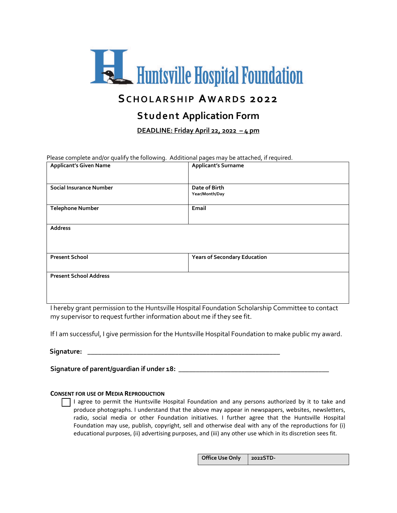

# **SCHOLARSHIP AWARDS 2022**

# **Student Application Form**

**DEADLINE: Friday April 22, 2022 – 4 pm** 

Please complete and/or qualify the following. Additional pages may be attached, if required.

| <b>Applicant's Given Name</b> | <b>Applicant's Surname</b>          |
|-------------------------------|-------------------------------------|
| Social Insurance Number       | Date of Birth<br>Year/Month/Day     |
| <b>Telephone Number</b>       | Email                               |
| <b>Address</b>                |                                     |
| <b>Present School</b>         | <b>Years of Secondary Education</b> |
| <b>Present School Address</b> |                                     |

I hereby grant permission to the Huntsville Hospital Foundation Scholarship Committee to contact my supervisor to request further information about me if they see fit.

If I am successful, I give permission for the Huntsville Hospital Foundation to make public my award.

**Signature: \_\_\_\_\_\_\_\_\_\_\_\_\_\_\_\_\_\_\_\_\_\_\_\_\_\_\_\_\_\_\_\_\_\_\_\_\_\_\_\_\_\_\_\_\_\_\_\_\_\_\_\_\_\_\_**

**Signature of parent/guardian if under 18: \_\_\_\_\_\_\_\_\_\_\_\_\_\_\_\_\_\_\_\_\_\_\_\_\_\_\_\_\_\_\_\_\_\_\_\_\_\_\_\_\_\_\_** 

#### **CONSENT FOR USE OF MEDIA REPRODUCTION**

 I agree to permit the Huntsville Hospital Foundation and any persons authorized by it to take and produce photographs. I understand that the above may appear in newspapers, websites, newsletters, radio, social media or other Foundation initiatives. I further agree that the Huntsville Hospital Foundation may use, publish, copyright, sell and otherwise deal with any of the reproductions for (i) educational purposes, (ii) advertising purposes, and (iii) any other use which in its discretion sees fit.

| Office Use Only   2022STD- |  |
|----------------------------|--|
|----------------------------|--|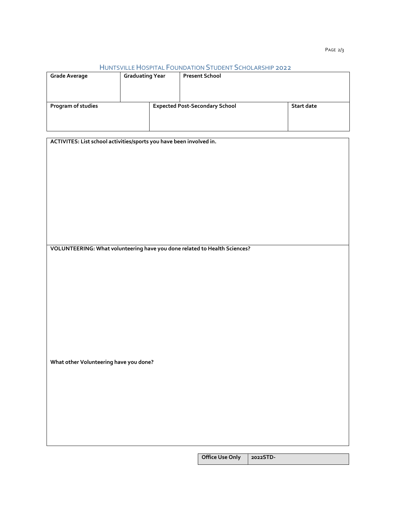#### HUNTSVILLE HOSPITAL FOUNDATION STUDENT SCHOLARSHIP 2022

| <b>Grade Average</b> | <b>Graduating Year</b> | <b>Present School</b>                 |            |
|----------------------|------------------------|---------------------------------------|------------|
| Program of studies   |                        | <b>Expected Post-Secondary School</b> | Start date |
|                      |                        |                                       |            |

| ACTIVITES: List school activities/sports you have been involved in.       |  |
|---------------------------------------------------------------------------|--|
|                                                                           |  |
|                                                                           |  |
|                                                                           |  |
|                                                                           |  |
|                                                                           |  |
|                                                                           |  |
|                                                                           |  |
|                                                                           |  |
|                                                                           |  |
|                                                                           |  |
|                                                                           |  |
|                                                                           |  |
| VOLUNTEERING: What volunteering have you done related to Health Sciences? |  |
|                                                                           |  |
|                                                                           |  |
|                                                                           |  |
|                                                                           |  |
|                                                                           |  |
|                                                                           |  |
|                                                                           |  |
|                                                                           |  |
|                                                                           |  |
|                                                                           |  |
|                                                                           |  |
|                                                                           |  |
| What other Volunteering have you done?                                    |  |
|                                                                           |  |
|                                                                           |  |
|                                                                           |  |
|                                                                           |  |
|                                                                           |  |
|                                                                           |  |
|                                                                           |  |
|                                                                           |  |
|                                                                           |  |
|                                                                           |  |

**Office Use Only 2022STD-**